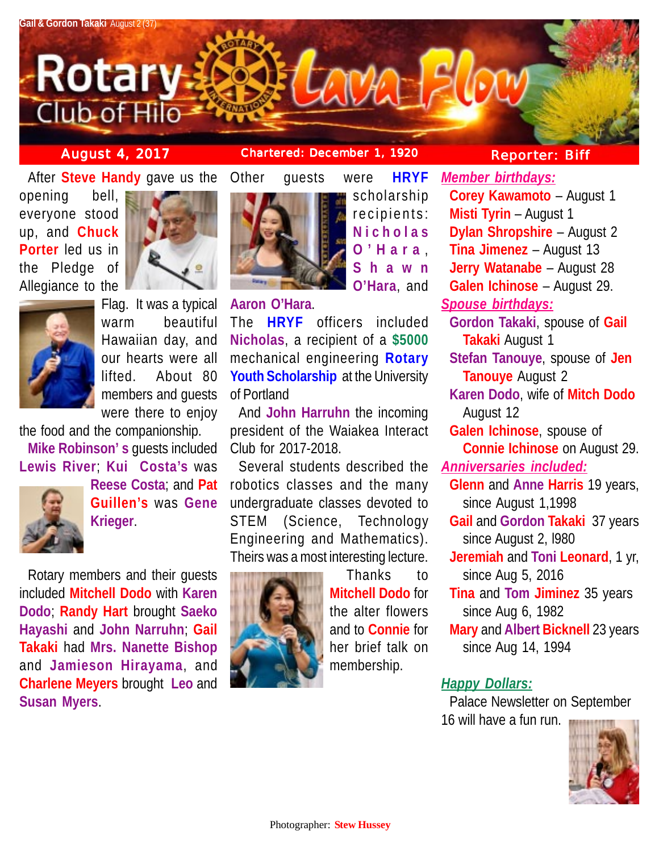

**August 4, 2017 Chartered: December 1, 1920 Reporter: Biff**

**Corey Kawamoto** – August 1

*Member birthdays:*

After **Steve Handy** gave us the Other guests were **HRYF**

opening bell, everyone stood up, and **Chuck Porter** led us in the Pledge of Allegiance to the





Flag. It was a typical warm beautiful Hawaiian day, and our hearts were all lifted. About 80 members and guests were there to enjoy

the food and the companionship. **Mike Robinson' s** guests included **Lewis River**; **Kui Costa's** was



**Reese Costa**; and **Pat Guillen's** was **Gene Krieger**.

Rotary members and their guests included **Mitchell Dodo** with **Karen Dodo**; **Randy Hart** brought **Saeko Hayashi** and **John Narruhn**; **Gail Takaki** had **Mrs. Nanette Bishop** and **Jamieson Hirayama**, and **Charlene Meyers** brought **Leo** and **Susan Myers**.



**Aaron O'Hara**.

The **HRYF** officers included **Nicholas**, a recipient of a **\$5000** mechanical engineering **Rotary Youth Scholarship** at the University of Portland

And **John Harruhn** the incoming president of the Waiakea Interact Club for 2017-2018.

Several students described the robotics classes and the many undergraduate classes devoted to STEM (Science, Technology Engineering and Mathematics). Theirs was a most interesting lecture.



Thanks to **Mitchell Dodo** for the alter flowers and to **Connie** for her brief talk on membership.

scholarship recipients: **Nicholas O'Hara** , **Shawn O'Hara**, and

**Misti Tyrin** – August 1 **Dylan Shropshire** – August 2 **Tina Jimenez** – August 13 **Jerry Watanabe** – August 28 **Galen Ichinose** – August 29. *Spouse birthdays:* **Gordon Takaki**, spouse of **Gail Takaki** August 1 **Stefan Tanouye**, spouse of **Jen Tanouye** August 2 **Karen Dodo**, wife of **Mitch Dodo** August 12 **Galen Ichinose**, spouse of **Connie Ichinose** on August 29. *Anniversaries included:* **Glenn** and **Anne Harris** 19 years, since August 1,1998 **Gail** and **Gordon Takaki** 37 years since August 2, l980 **Jeremiah** and **Toni Leonard**, 1 yr, since Aug 5, 2016 **Tina** and **Tom Jiminez** 35 years since Aug 6, 1982 **Mary** and **Albert Bicknell** 23 years since Aug 14, 1994

# *Happy Dollars:*

Palace Newsletter on September 16 will have a fun run.